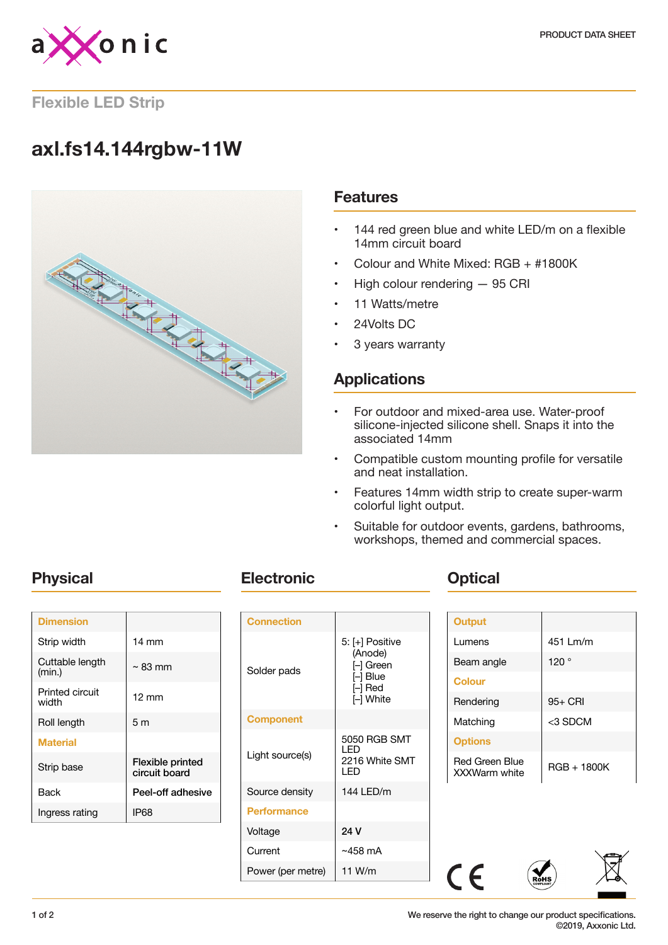

### **Flexible LED Strip**

# **axl.fs14.144rgbw-11W**



### **Features**

- 144 red green blue and white LED/m on a flexible 14mm circuit board
- Colour and White Mixed: RGB + #1800K
- High colour rendering 95 CRI
- 11 Watts/metre
- 24Volts DC
- 3 years warranty

## **Applications**

- For outdoor and mixed-area use. Water-proof silicone-injected silicone shell. Snaps it into the associated 14mm
- Compatible custom mounting profile for versatile and neat installation.
- Features 14mm width strip to create super-warm colorful light output.
- Suitable for outdoor events, gardens, bathrooms, workshops, themed and commercial spaces.

| <b>Dimension</b>          |                                   |
|---------------------------|-----------------------------------|
| Strip width               | 14 mm                             |
| Cuttable length<br>(min.) | $\sim$ 83 mm                      |
| Printed circuit<br>width  | 12 mm                             |
| Roll length               | 5 m                               |
| <b>Material</b>           |                                   |
| Strip base                | Flexible printed<br>circuit board |
| Back                      | Peel-off adhesive                 |
| Ingress rating            | IP68                              |
|                           |                                   |

## **Physical Electronic COPTIC PHYSICAL**

| <b>Connection</b>  |                                                                         |
|--------------------|-------------------------------------------------------------------------|
| Solder pads        | 5: [+] Positive<br>(Anode)<br>- Green<br>I–l Blue<br>I–l Red<br>- White |
| <b>Component</b>   |                                                                         |
| Light source(s)    | 5050 RGB SMT<br>I FD<br>2216 White SMT<br>I FD                          |
| Source density     | 144 LED/m                                                               |
| <b>Performance</b> |                                                                         |
| Voltage            | 24 V                                                                    |
| Current            | $~1$ ~458 mA                                                            |
| Power (per metre)  | 11 W/m                                                                  |

| <b>Output</b>                                 |             |
|-----------------------------------------------|-------------|
| Lumens                                        | 451 Lm/m    |
| Beam angle                                    | 120°        |
| <b>Colour</b>                                 |             |
| Rendering                                     | $95+$ CRI   |
| Matching                                      | <3 SDCM     |
| <b>Options</b>                                |             |
| <b>Red Green Blue</b><br><b>XXXWarm white</b> | RGB + 1800K |



 $C \in$